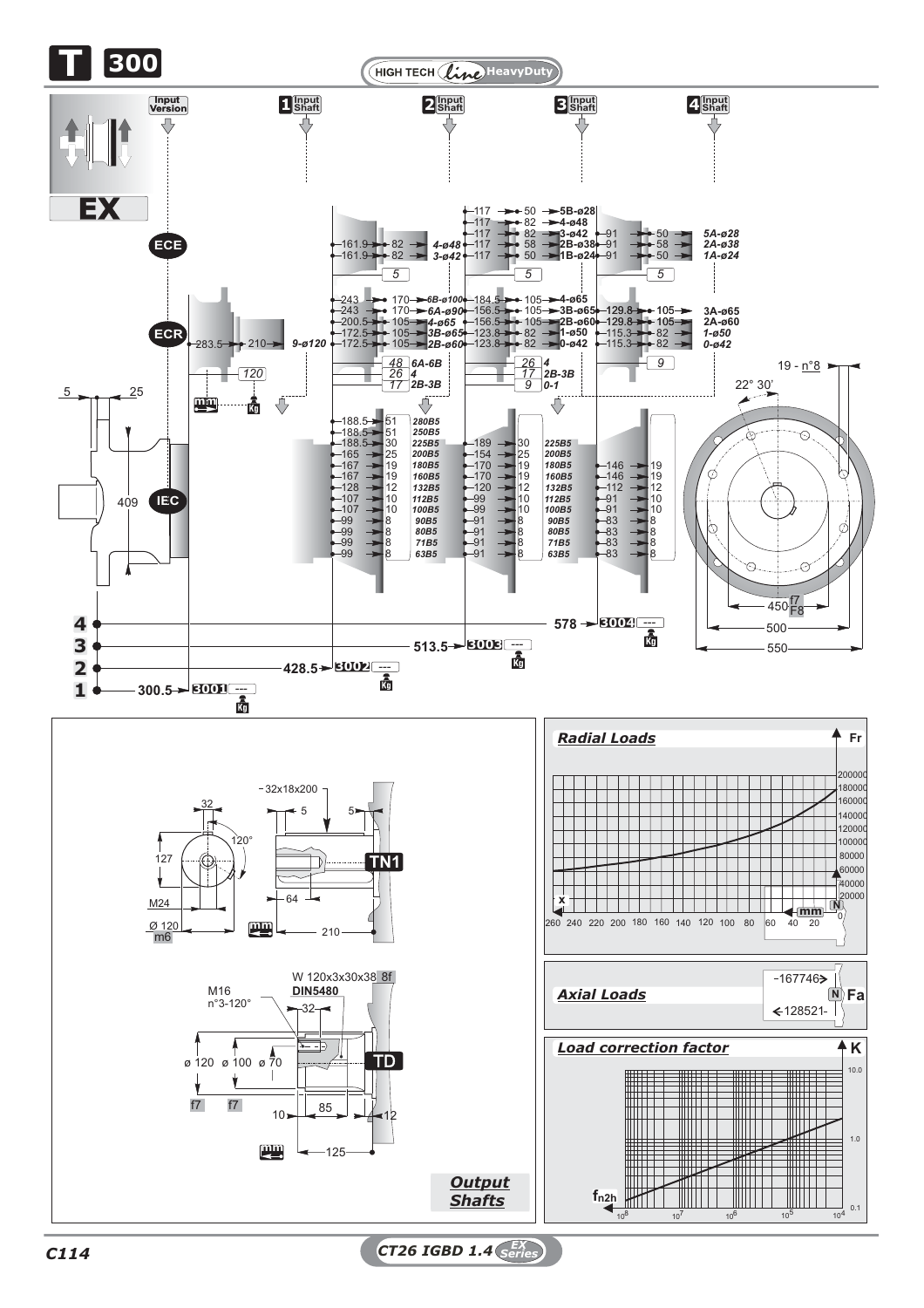

*C114 CT26 IGBD 1.4 EX Series*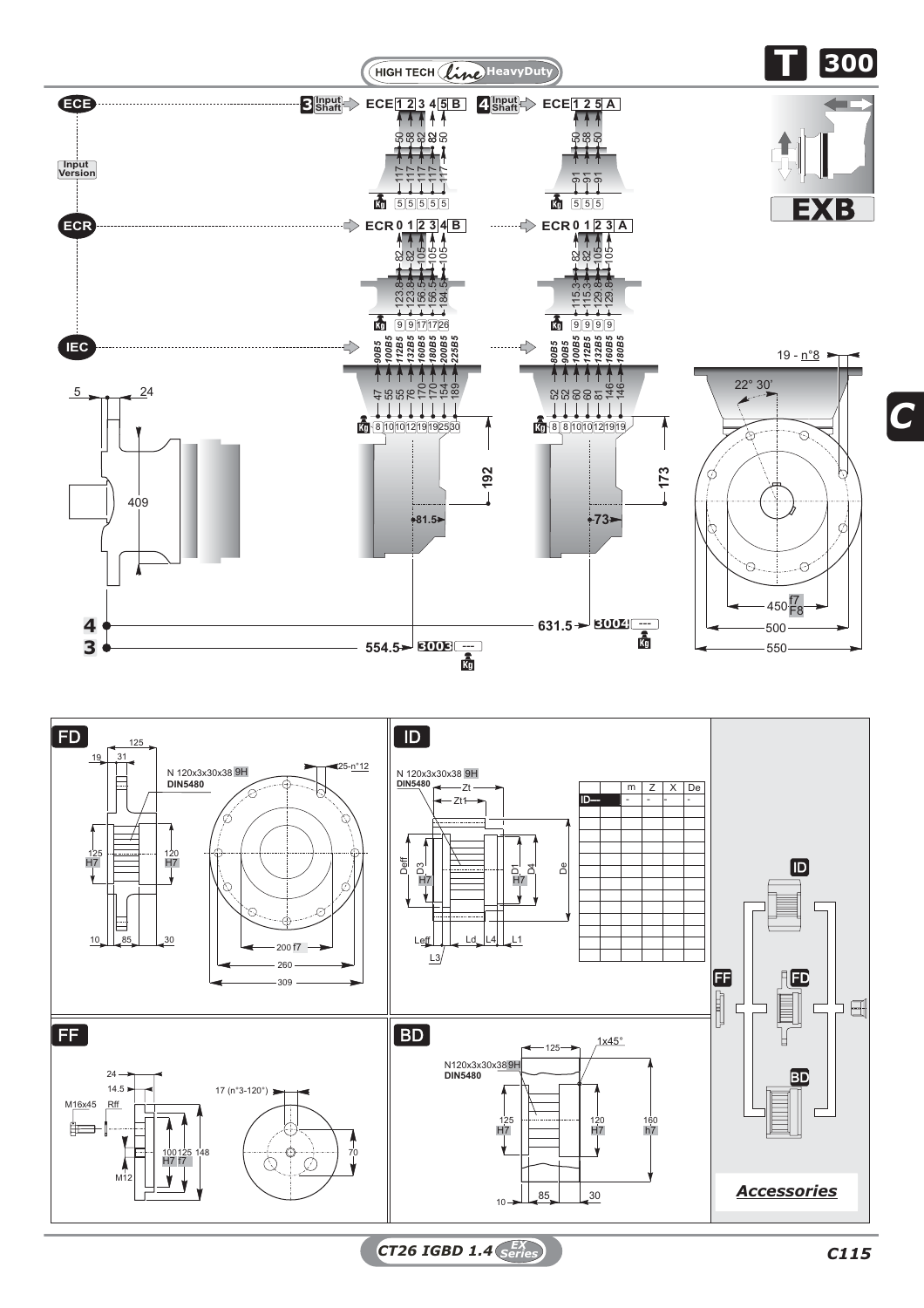

*CT26 IGBD 1.4 C115 EX Series*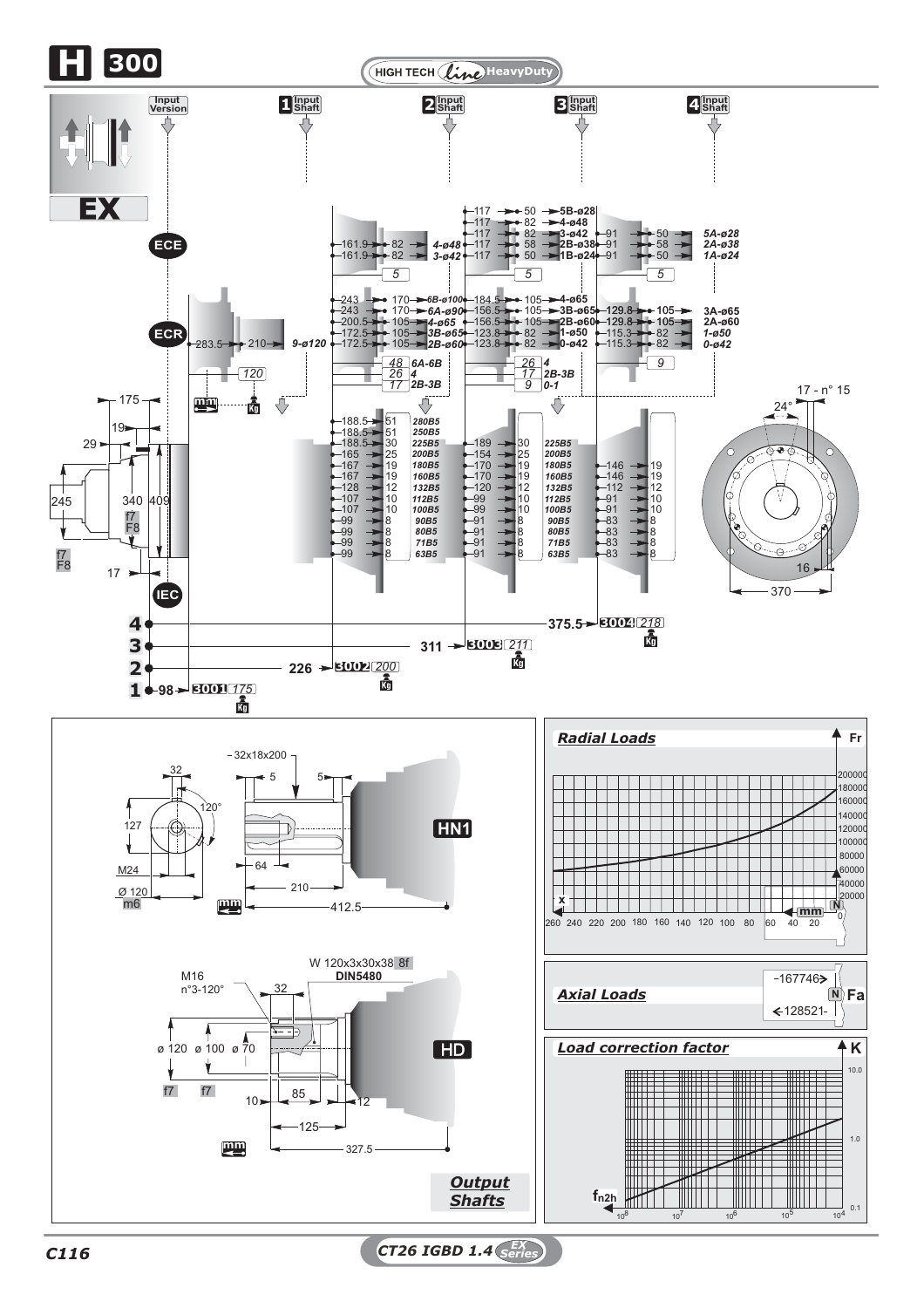

*C116 CT26 IGBD 1.4 EX Series*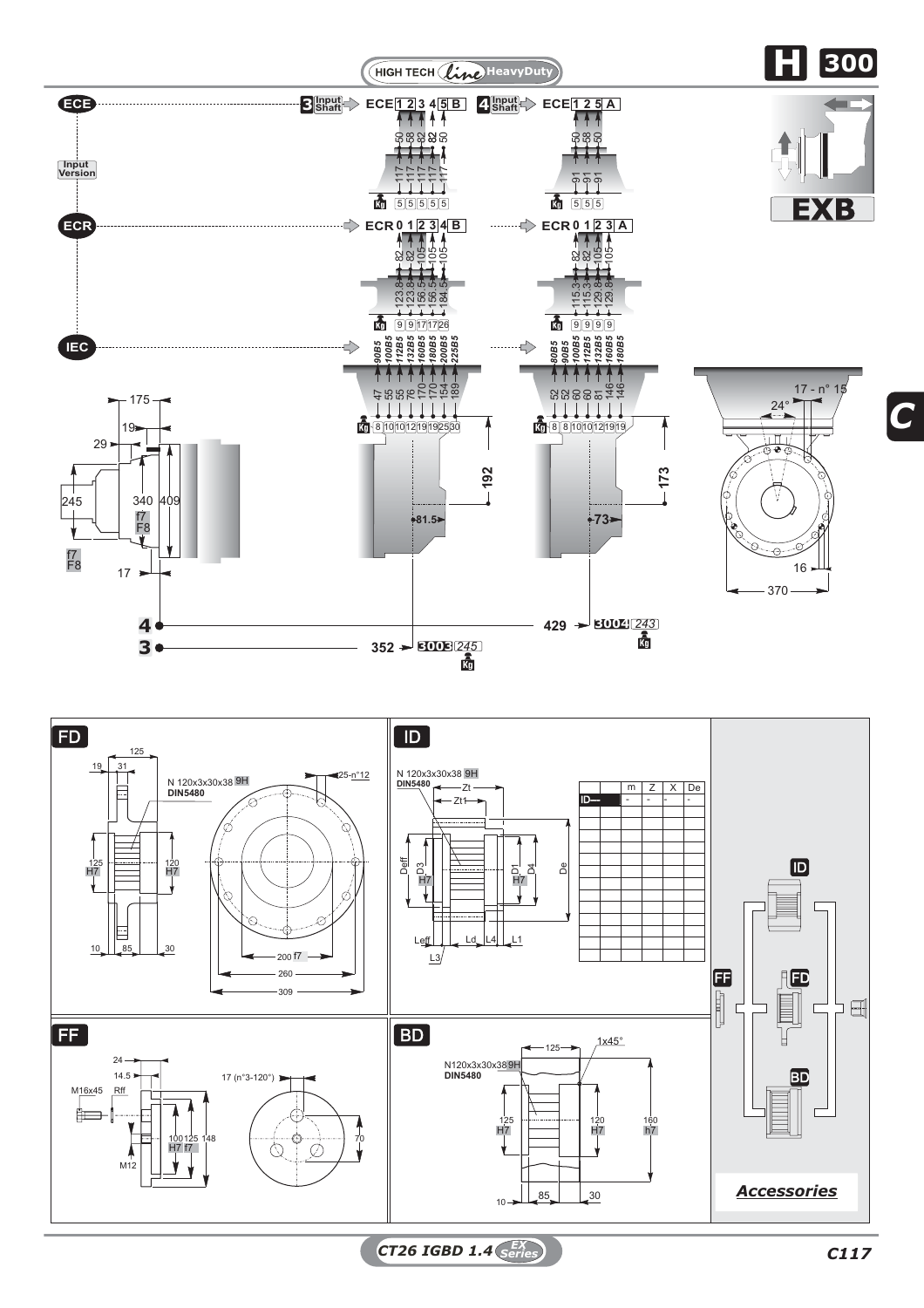

*CT26 IGBD 1.4 C117 EX Series*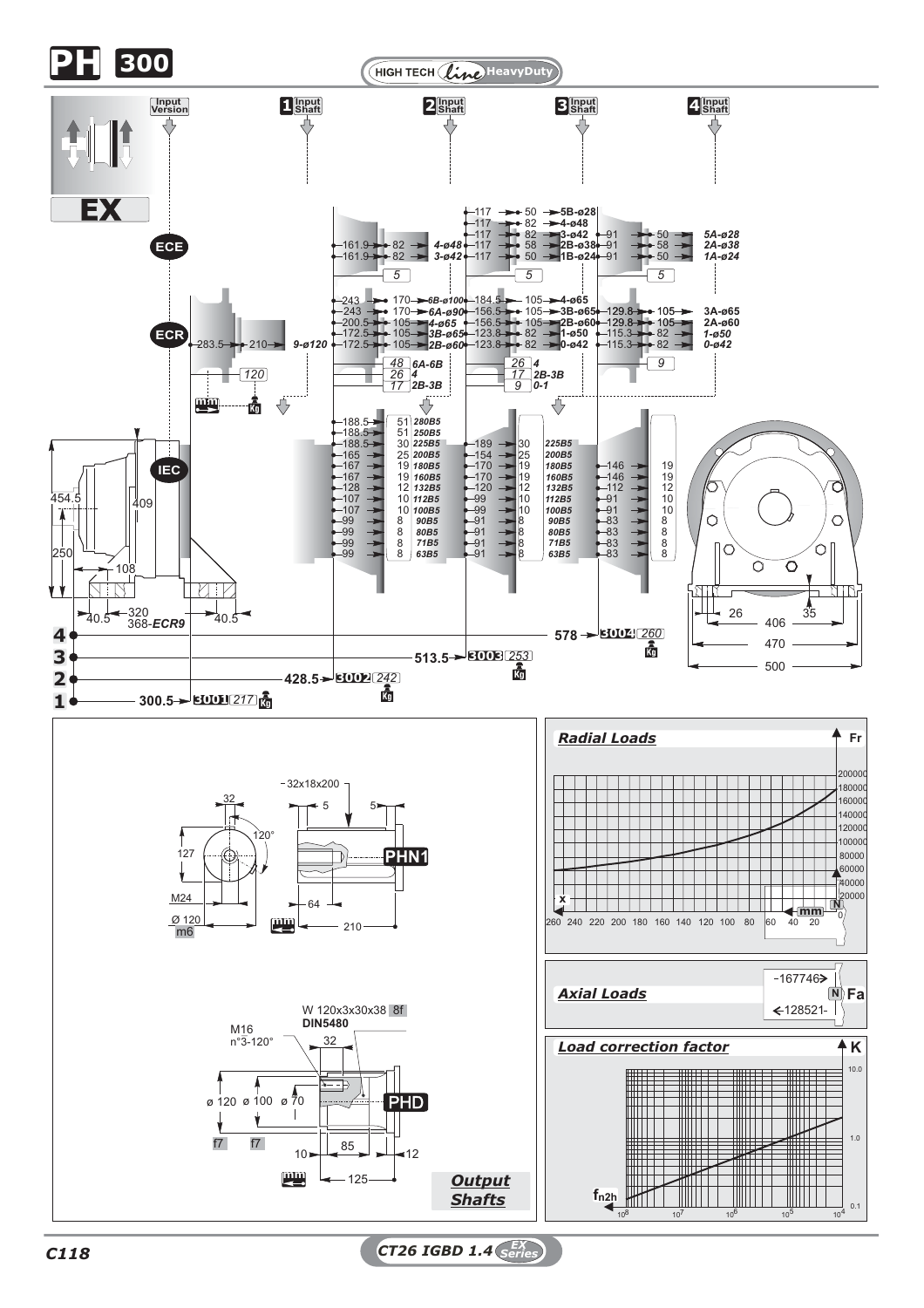

*C118 CT26 IGBD 1.4 EX Series*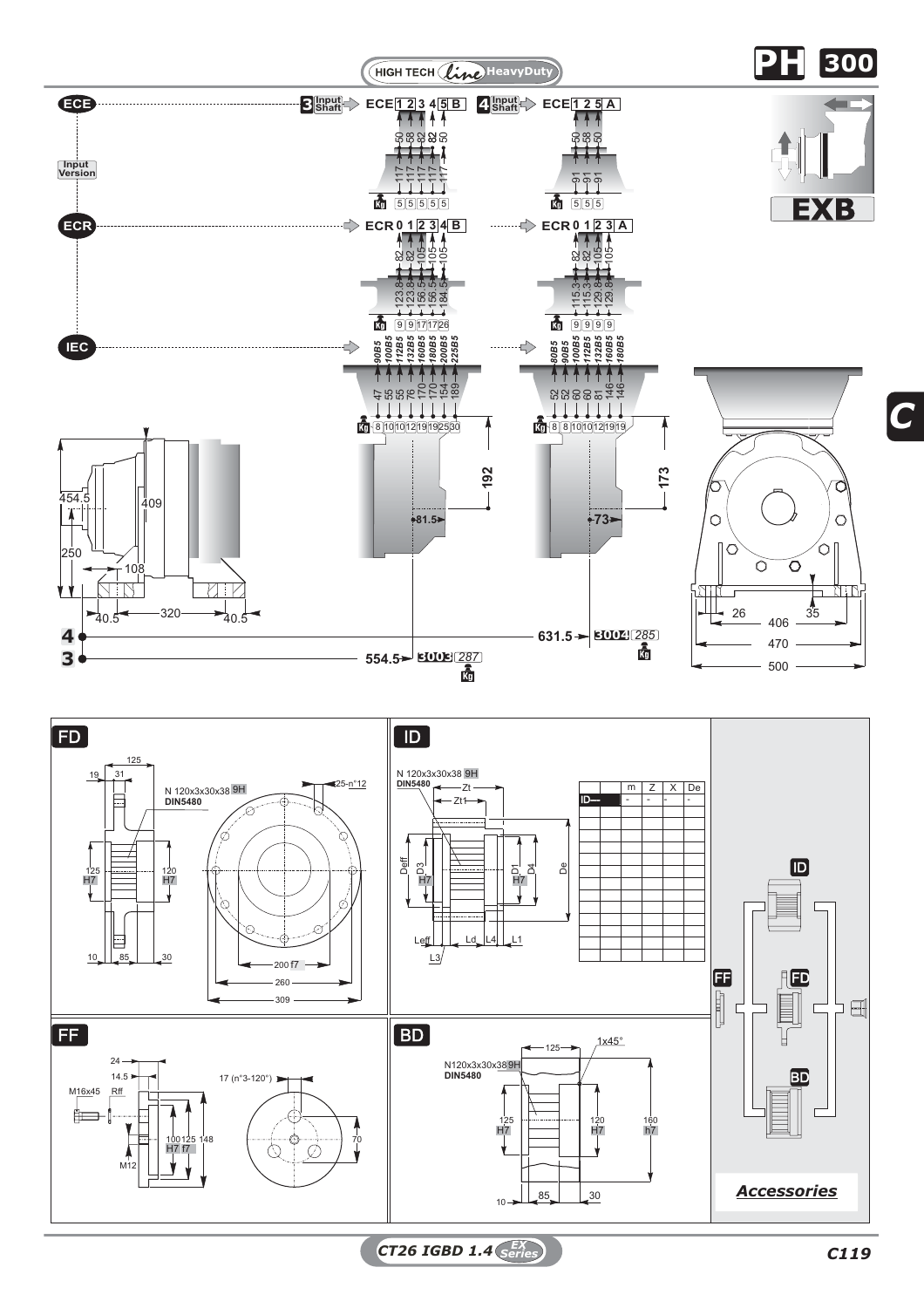

*CT26 IGBD 1.4 C119 EX Series*

*C*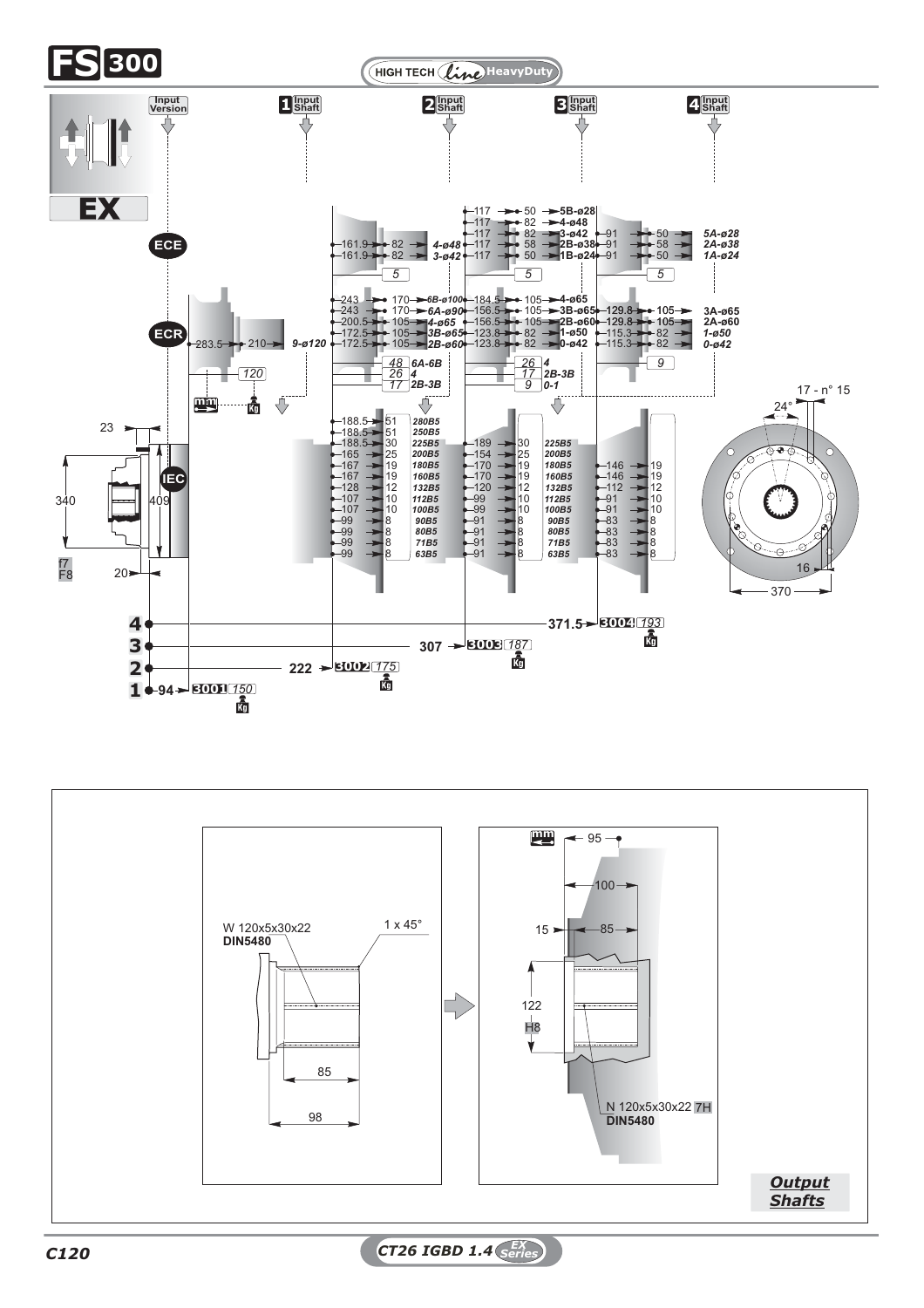

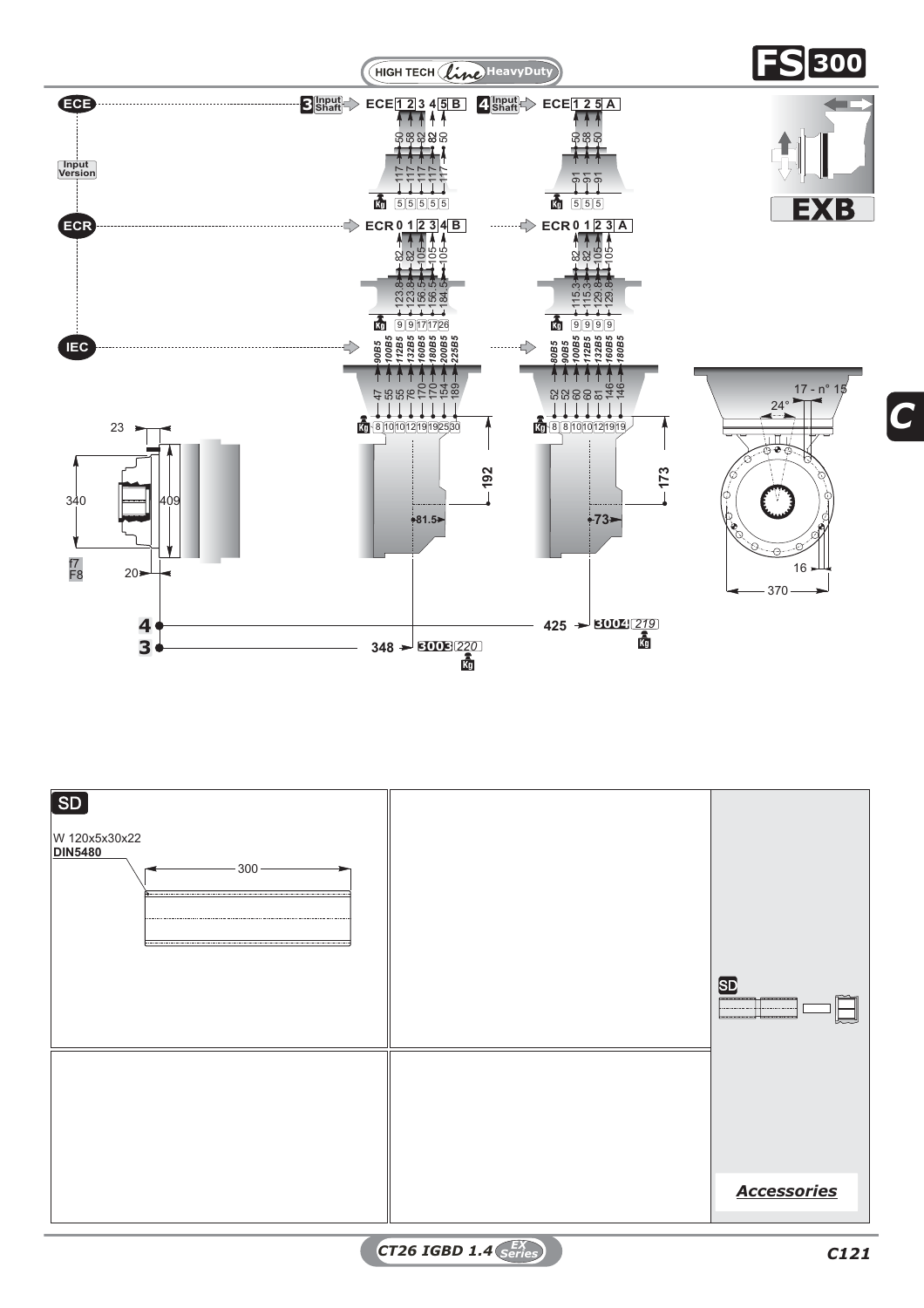



*CT26 IGBD 1.4 C121 EX Series*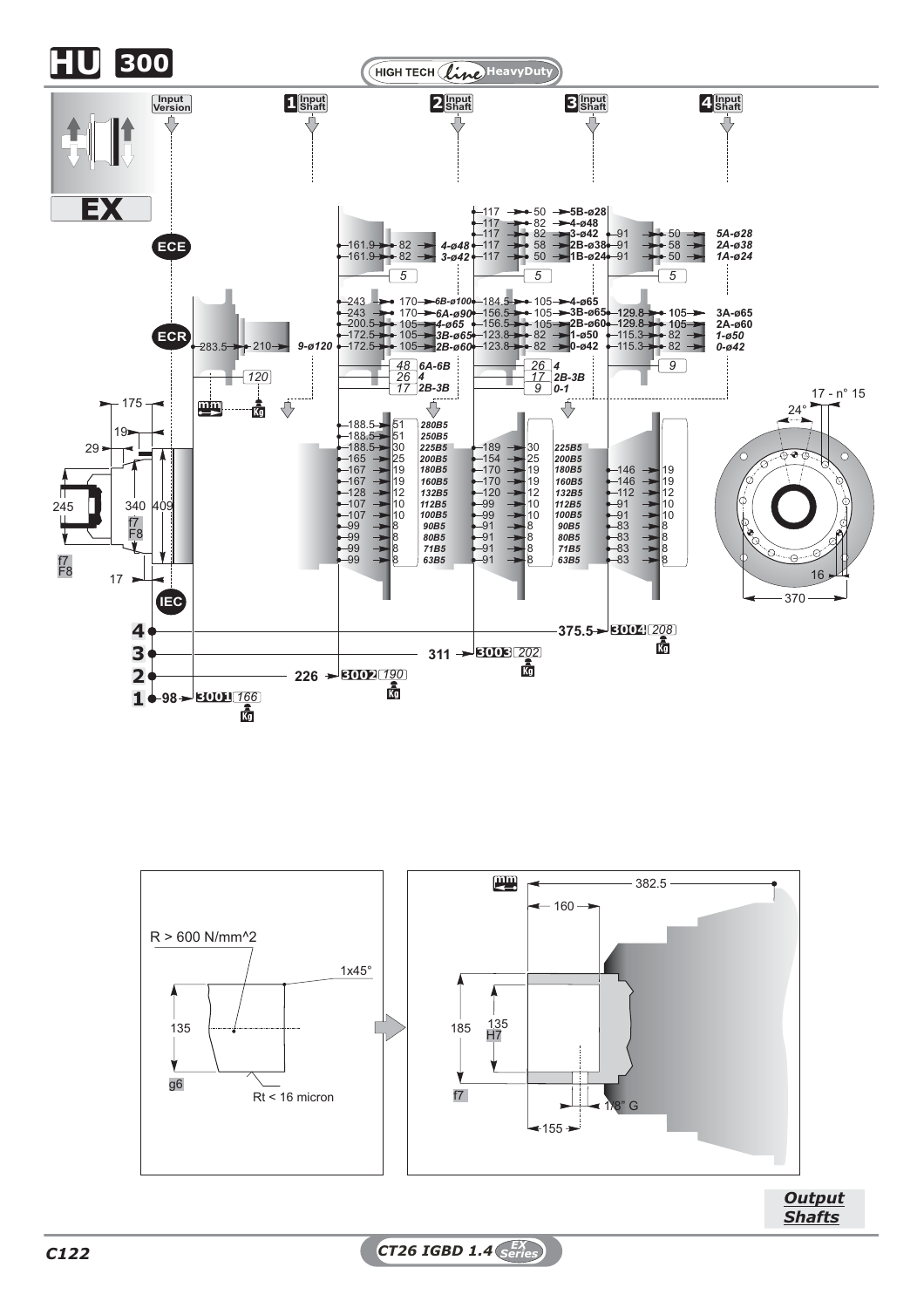





*C122 CT26 IGBD 1.4 EX Series*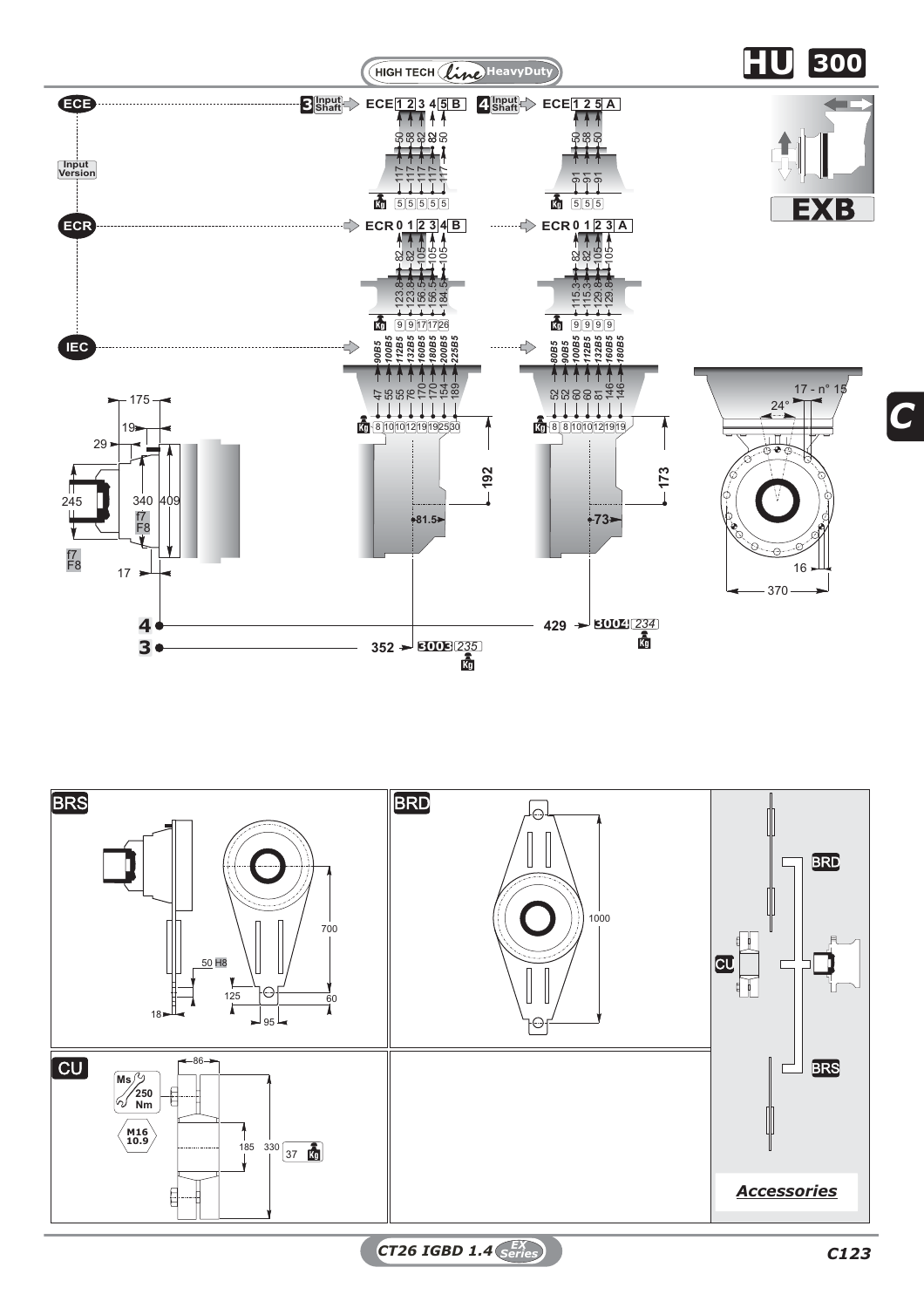

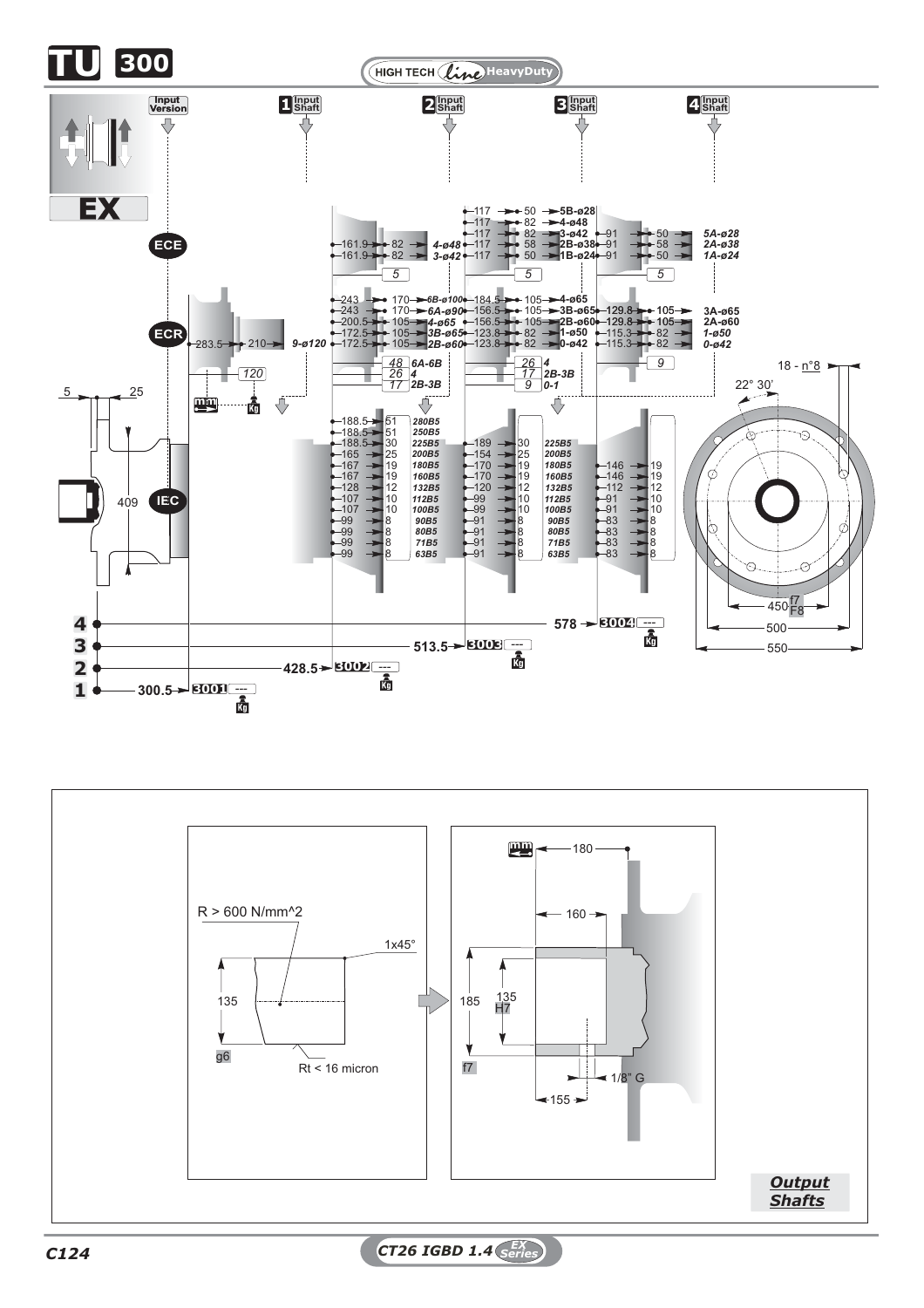



*C124 CT26 IGBD 1.4 EX Series*